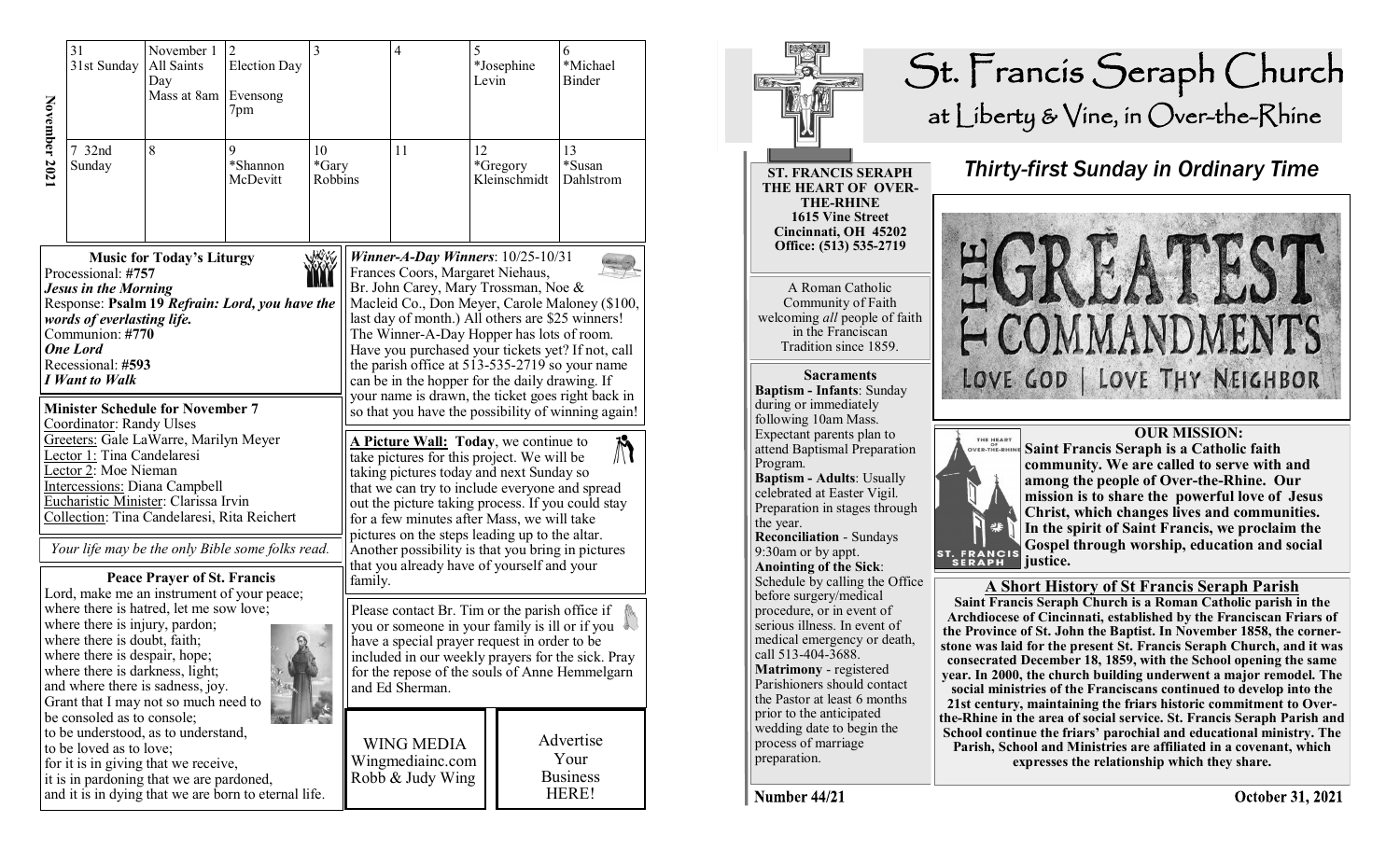|                                                                                                                                                                                                                                                                                                                                               | 31<br>31st Sunday                                     | November 1<br>All Saints<br>Day<br>Mass at 8am                                                                                                                                  | $\overline{2}$<br><b>Election Day</b><br>Evensong | 3                |                                                           | $\overline{4}$                                                                                                                                                                                                                                                                                                                                                            | 5<br>Levin               | *Josephine                                    | 6<br>*Michael<br><b>Binder</b> |  |  |
|-----------------------------------------------------------------------------------------------------------------------------------------------------------------------------------------------------------------------------------------------------------------------------------------------------------------------------------------------|-------------------------------------------------------|---------------------------------------------------------------------------------------------------------------------------------------------------------------------------------|---------------------------------------------------|------------------|-----------------------------------------------------------|---------------------------------------------------------------------------------------------------------------------------------------------------------------------------------------------------------------------------------------------------------------------------------------------------------------------------------------------------------------------------|--------------------------|-----------------------------------------------|--------------------------------|--|--|
| November 2021                                                                                                                                                                                                                                                                                                                                 | 7 32nd                                                | 8                                                                                                                                                                               | 7pm<br>9<br>10                                    |                  |                                                           | 11                                                                                                                                                                                                                                                                                                                                                                        | 12                       |                                               | 13                             |  |  |
|                                                                                                                                                                                                                                                                                                                                               | Sunday                                                |                                                                                                                                                                                 | *Shannon<br>McDevitt                              | *Gary<br>Robbins |                                                           |                                                                                                                                                                                                                                                                                                                                                                           | *Gregory<br>Kleinschmidt |                                               | *Susan<br>Dahlstrom            |  |  |
| <b>Music for Today's Liturgy</b><br>Processional: #757<br><b>Jesus in the Morning</b><br>Response: Psalm 19 Refrain: Lord, you have the<br>words of everlasting life.<br>Communion: #770<br><b>One Lord</b><br>Recessional: #593                                                                                                              |                                                       |                                                                                                                                                                                 |                                                   |                  |                                                           | Winner-A-Day Winners: $10/25-10/31$<br>Frances Coors, Margaret Niehaus,<br>Br. John Carey, Mary Trossman, Noe &<br>Macleid Co., Don Meyer, Carole Maloney (\$100,<br>last day of month.) All others are \$25 winners!<br>The Winner-A-Day Hopper has lots of room.<br>Have you purchased your tickets yet? If not, call<br>the parish office at 513-535-2719 so your name |                          |                                               |                                |  |  |
| <b>I</b> Want to Walk<br><b>Minister Schedule for November 7</b><br>Coordinator: Randy Ulses<br>Greeters: Gale LaWarre, Marilyn Meyer<br>Lector 1: Tina Candelaresi<br>Lector 2: Moe Nieman<br>Intercessions: Diana Campbell<br>Eucharistic Minister: Clarissa Irvin<br>Collection: Tina Candelaresi, Rita Reichert                           |                                                       |                                                                                                                                                                                 |                                                   |                  |                                                           | can be in the hopper for the daily drawing. If<br>your name is drawn, the ticket goes right back in<br>so that you have the possibility of winning again!                                                                                                                                                                                                                 |                          |                                               |                                |  |  |
|                                                                                                                                                                                                                                                                                                                                               |                                                       |                                                                                                                                                                                 |                                                   |                  |                                                           | A Picture Wall: Today, we continue to<br>take pictures for this project. We will be<br>taking pictures today and next Sunday so<br>that we can try to include everyone and spread<br>out the picture taking process. If you could stay<br>for a few minutes after Mass, we will take                                                                                      |                          |                                               |                                |  |  |
| Your life may be the only Bible some folks read.                                                                                                                                                                                                                                                                                              |                                                       |                                                                                                                                                                                 |                                                   |                  |                                                           | pictures on the steps leading up to the altar.<br>Another possibility is that you bring in pictures<br>that you already have of yourself and your                                                                                                                                                                                                                         |                          |                                               |                                |  |  |
| <b>Peace Prayer of St. Francis</b><br>Lord, make me an instrument of your peace;<br>where there is hatred, let me sow love;<br>where there is injury, pardon;<br>where there is doubt, faith;<br>where there is despair, hope;<br>where there is darkness, light;<br>and where there is sadness, joy.<br>Grant that I may not so much need to |                                                       |                                                                                                                                                                                 |                                                   |                  |                                                           | family.<br>Please contact Br. Tim or the parish office if<br>you or someone in your family is ill or if you<br>have a special prayer request in order to be<br>included in our weekly prayers for the sick. Pray<br>for the repose of the souls of Anne Hemmelgarn<br>and Ed Sherman.                                                                                     |                          |                                               |                                |  |  |
|                                                                                                                                                                                                                                                                                                                                               | be consoled as to console;<br>to be loved as to love; | to be understood, as to understand,<br>for it is in giving that we receive,<br>it is in pardoning that we are pardoned,<br>and it is in dying that we are born to eternal life. |                                                   |                  | <b>WING MEDIA</b><br>Wingmediainc.com<br>Robb & Judy Wing |                                                                                                                                                                                                                                                                                                                                                                           |                          | Advertise<br>Your<br><b>Business</b><br>HERE! |                                |  |  |



Number 44/21